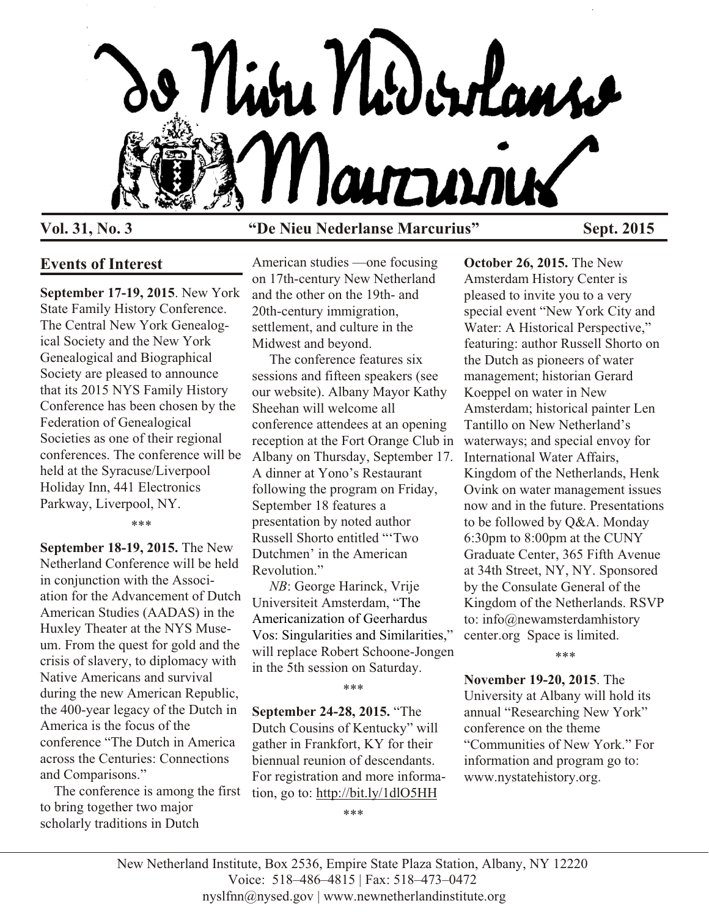

#### **Vol. 31, No. 3 "De Nieu Nederlanse Marcurius" Sept. 2015**

# **Events of Interest**

**September 17-19, 2015**. New York State Family History Conference. The Central New York Genealogical Society and the New York Genealogical and Biographical Society are pleased to announce that its 2015 NYS Family History Conference has been chosen by the Federation of Genealogical Societies as one of their regional conferences. The conference will be held at the Syracuse/Liverpool Holiday Inn, 441 Electronics Parkway, Liverpool, NY.

\*\*\*

**September 18-19, 2015.** The New Netherland Conference will be held in conjunction with the Association for the Advancement of Dutch American Studies (AADAS) in the Huxley Theater at the NYS Museum. From the quest for gold and the crisis of slavery, to diplomacy with Native Americans and survival during the new American Republic, the 400-year legacy of the Dutch in America is the focus of the conference "The Dutch in America across the Centuries: Connections and Comparisons."

 The conference is among the first to bring together two major scholarly traditions in Dutch

American studies —one focusing on 17th-century New Netherland and the other on the 19th- and 20th-century immigration, settlement, and culture in the Midwest and beyond.

 The conference features six sessions and fifteen speakers (see our website). Albany Mayor Kathy Sheehan will welcome all conference attendees at an opening reception at the Fort Orange Club in Albany on Thursday, September 17. A dinner at Yono's Restaurant following the program on Friday, September 18 features a presentation by noted author Russell Shorto entitled "'Two Dutchmen' in the American Revolution."

 *NB*: George Harinck, Vrije Universiteit Amsterdam, "The Americanization of Geerhardus Vos: Singularities and Similarities," will replace Robert Schoone-Jongen in the 5th session on Saturday.

\*\*\*

**September 24-28, 2015.** "The Dutch Cousins of Kentucky" will gather in Frankfort, KY for their biennual reunion of descendants. For registration and more information, go to:<http://bit.ly/1dlO5HH>

**October 26, 2015.** The New Amsterdam History Center is pleased to invite you to a very special event "New York City and Water: A Historical Perspective," featuring: author Russell Shorto on the Dutch as pioneers of water management; historian Gerard Koeppel on water in New Amsterdam; historical painter Len Tantillo on New Netherland's waterways; and special envoy for International Water Affairs, Kingdom of the Netherlands, Henk Ovink on water management issues now and in the future. Presentations to be followed by Q&A. Monday 6:30pm to 8:00pm at the CUNY Graduate Center, 365 Fifth Avenue at 34th Street, NY, NY. Sponsored by the Consulate General of the Kingdom of the Netherlands. RSVP to: info@newamsterdamhistory center.org Space is limited.

\*\*\*

**November 19-20, 2015**. The University at Albany will hold its annual "Researching New York" conference on the theme "Communities of New York." For information and program go to: www.nystatehistory.org.

\*\*\*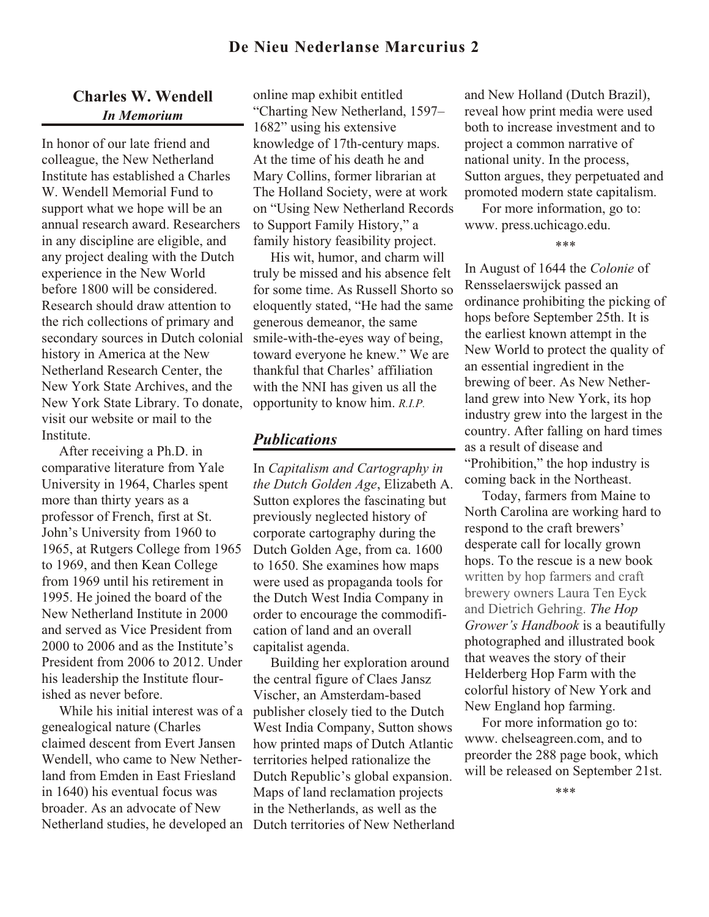## **De Nieu Nederlanse Marcurius 2**

## **Charles W. Wendell** *In Memorium*

In honor of our late friend and colleague, the New Netherland Institute has established a Charles W. Wendell Memorial Fund to support what we hope will be an annual research award. Researchers in any discipline are eligible, and any project dealing with the Dutch experience in the New World before 1800 will be considered. Research should draw attention to the rich collections of primary and secondary sources in Dutch colonial history in America at the New Netherland Research Center, the New York State Archives, and the New York State Library. To donate, visit our website or mail to the Institute.

 After receiving a Ph.D. in comparative literature from Yale University in 1964, Charles spent more than thirty years as a professor of French, first at St. John's University from 1960 to 1965, at Rutgers College from 1965 to 1969, and then Kean College from 1969 until his retirement in 1995. He joined the board of the New Netherland Institute in 2000 and served as Vice President from 2000 to 2006 and as the Institute's President from 2006 to 2012. Under his leadership the Institute flourished as never before.

 While his initial interest was of a genealogical nature (Charles claimed descent from Evert Jansen Wendell, who came to New Netherland from Emden in East Friesland in 1640) his eventual focus was broader. As an advocate of New Netherland studies, he developed an Dutch territories of New Netherland

online map exhibit entitled "Charting New Netherland, 1597– 1682" using his extensive knowledge of 17th-century maps. At the time of his death he and Mary Collins, former librarian at The Holland Society, were at work on "Using New Netherland Records to Support Family History," a family history feasibility project.

 His wit, humor, and charm will truly be missed and his absence felt for some time. As Russell Shorto so eloquently stated, "He had the same generous demeanor, the same smile-with-the-eyes way of being, toward everyone he knew." We are thankful that Charles' affiliation with the NNI has given us all the opportunity to know him. *R.I.P.*

#### *Publications*

In *Capitalism and Cartography in the Dutch Golden Age*, Elizabeth A. Sutton explores the fascinating but previously neglected history of corporate cartography during the Dutch Golden Age, from ca. 1600 to 1650. She examines how maps were used as propaganda tools for the Dutch West India Company in order to encourage the commodification of land and an overall capitalist agenda.

 Building her exploration around the central figure of Claes Jansz Vischer, an Amsterdam-based publisher closely tied to the Dutch West India Company, Sutton shows how printed maps of Dutch Atlantic territories helped rationalize the Dutch Republic's global expansion. Maps of land reclamation projects in the Netherlands, as well as the

and New Holland (Dutch Brazil), reveal how print media were used both to increase investment and to project a common narrative of national unity. In the process, Sutton argues, they perpetuated and promoted modern state capitalism.

 For more information, go to: www. press.uchicago.edu.

\*\*\*

In August of 1644 the *Colonie* of Rensselaerswijck passed an ordinance prohibiting the picking of hops before September 25th. It is the earliest known attempt in the New World to protect the quality of an essential ingredient in the brewing of beer. As New Netherland grew into New York, its hop industry grew into the largest in the country. After falling on hard times as a result of disease and "Prohibition," the hop industry is coming back in the Northeast.

 Today, farmers from Maine to North Carolina are working hard to respond to the craft brewers' desperate call for locally grown hops. To the rescue is a new book written by hop farmers and craft brewery owners Laura Ten Eyck and Dietrich Gehring. *The Hop Grower's Handbook* is a beautifully photographed and illustrated book that weaves the story of their Helderberg Hop Farm with the colorful history of New York and New England hop farming.

 For more information go to: www. chelseagreen.com, and to preorder the 288 page book, which will be released on September 21st.

\*\*\*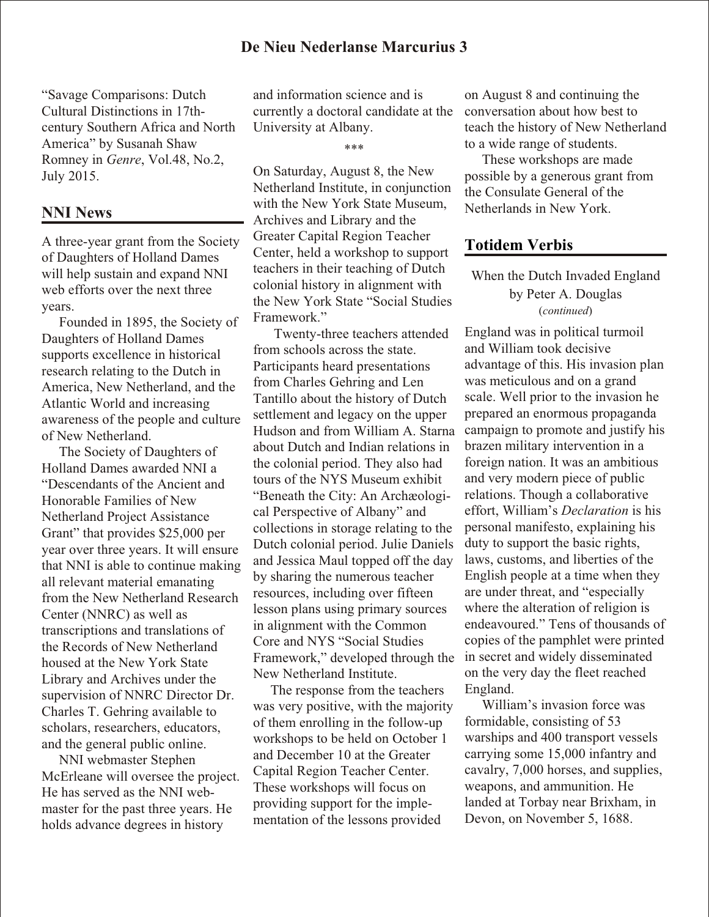"Savage Comparisons: Dutch Cultural Distinctions in 17thcentury Southern Africa and North America" by Susanah Shaw Romney in *Genre*, Vol.48, No.2, July 2015.

#### **NNI News**

A three-year grant from the Society of Daughters of Holland Dames will help sustain and expand NNI web efforts over the next three years.

 Founded in 1895, the Society of Daughters of Holland Dames supports excellence in historical research relating to the Dutch in America, New Netherland, and the Atlantic World and increasing awareness of the people and culture of New Netherland.

 The Society of Daughters of Holland Dames awarded NNI a "Descendants of the Ancient and Honorable Families of New Netherland Project Assistance Grant" that provides \$25,000 per year over three years. It will ensure that NNI is able to continue making all relevant material emanating from the New Netherland Research Center (NNRC) as well as transcriptions and translations of the Records of New Netherland housed at the New York State Library and Archives under the supervision of NNRC Director Dr. Charles T. Gehring available to scholars, researchers, educators, and the general public online.

 NNI webmaster Stephen McErleane will oversee the project. He has served as the NNI webmaster for the past three years. He holds advance degrees in history

and information science and is currently a doctoral candidate at the University at Albany.

\*\*\*

On Saturday, August 8, the New Netherland Institute, in conjunction with the New York State Museum, Archives and Library and the Greater Capital Region Teacher Center, held a workshop to support teachers in their teaching of Dutch colonial history in alignment with the New York State "Social Studies Framework."

 Twenty-three teachers attended from schools across the state. Participants heard presentations from Charles Gehring and Len Tantillo about the history of Dutch settlement and legacy on the upper Hudson and from William A. Starna about Dutch and Indian relations in the colonial period. They also had tours of the NYS Museum exhibit "Beneath the City: An Archæological Perspective of Albany" and collections in storage relating to the Dutch colonial period. Julie Daniels and Jessica Maul topped off the day by sharing the numerous teacher resources, including over fifteen lesson plans using primary sources in alignment with the Common Core and NYS "Social Studies Framework," developed through the New Netherland Institute.

 The response from the teachers was very positive, with the majority of them enrolling in the follow-up workshops to be held on October 1 and December 10 at the Greater Capital Region Teacher Center. These workshops will focus on providing support for the implementation of the lessons provided

on August 8 and continuing the conversation about how best to teach the history of New Netherland to a wide range of students.

 These workshops are made possible by a generous grant from the Consulate General of the Netherlands in New York.

## **Totidem Verbis**

When the Dutch Invaded England by Peter A. Douglas (*continued*)

England was in political turmoil and William took decisive advantage of this. His invasion plan was meticulous and on a grand scale. Well prior to the invasion he prepared an enormous propaganda campaign to promote and justify his brazen military intervention in a foreign nation. It was an ambitious and very modern piece of public relations. Though a collaborative effort, William's *Declaration* is his personal manifesto, explaining his duty to support the basic rights, laws, customs, and liberties of the English people at a time when they are under threat, and "especially where the alteration of religion is endeavoured." Tens of thousands of copies of the pamphlet were printed in secret and widely disseminated on the very day the fleet reached England.

 William's invasion force was formidable, consisting of 53 warships and 400 transport vessels carrying some 15,000 infantry and cavalry, 7,000 horses, and supplies, weapons, and ammunition. He landed at Torbay near Brixham, in Devon, on November 5, 1688.